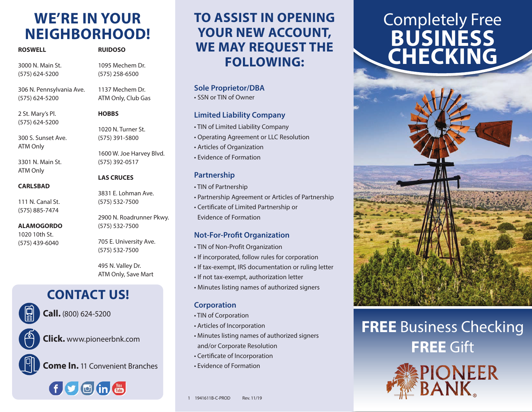# **WE'RE IN YOUR NEIGHBORHOOD!**

| <b>ROSWELL</b>   | <b>RUIDOSO</b>   |
|------------------|------------------|
| 3000 N. Main St. | 1095 Mechem Dr.  |
| (575) 624-5200   | $(575)$ 258-6500 |
|                  |                  |

306 N. Pennsylvania Ave. 1137 Mechem Dr.

**HOBBS**

ATM Only, Club Gas

2 St. Mary's Pl. (575) 624-5200

(575) 624-5200

**ROSWELL** 

300 S. Sunset Ave. ATM Only

3301 N. Main St. ATM Only

**CARLSBAD**

111 N. Canal St. (575) 885-7474

**ALAMOGORDO** 1020 10th St. (575) 439-6040

#### (575) 391-5800 1600 W. Joe Harvey Blvd. (575) 392-0517

1020 N. Turner St.

#### **LAS CRUCES**

3831 E. Lohman Ave. (575) 532-7500

2900 N. Roadrunner Pkwy. (575) 532-7500

705 E. University Ave. (575) 532-7500

495 N. Valley Dr. ATM Only, Save Mart

## **CONTACT US!**

**Call.** (800) 624-5200

**Click.** www.pioneerbnk.com

**Come In.** 11 Convenient Branches



# **TO ASSIST IN OPENING YOUR NEW ACCOUNT, WE MAY REQUEST THE FOLLOWING:**

#### **Sole Proprietor/DBA**

• SSN or TIN of Owner

#### **Limited Liability Company**

- TIN of Limited Liability Company
- Operating Agreement or LLC Resolution
- Articles of Organization
- Evidence of Formation

#### **Partnership**

- TIN of Partnership
- Partnership Agreement or Articles of Partnership
- Certificate of Limited Partnership or Evidence of Formation

#### **Not-For-Profit Organization**

- TIN of Non-Profit Organization
- If incorporated, follow rules for corporation
- If tax-exempt, IRS documentation or ruling letter
- If not tax-exempt, authorization letter
- Minutes listing names of authorized signers

#### **Corporation**

- TIN of Corporation
- Articles of Incorporation
- Minutes listing names of authorized signers and/or Corporate Resolution
- Certificate of Incorporation
- Evidence of Formation

# Completely Free **BUSINESS CHECKING**